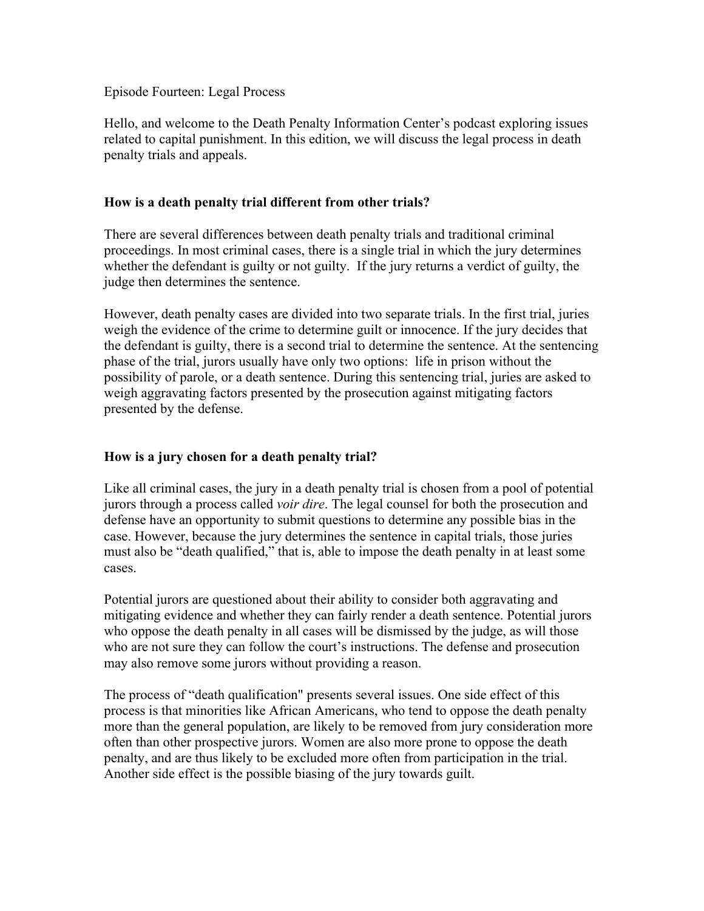Episode Fourteen: Legal Process

Hello, and welcome to the Death Penalty Information Center's podcast exploring issues related to capital punishment. In this edition, we will discuss the legal process in death penalty trials and appeals.

## **How is a death penalty trial different from other trials?**

There are several differences between death penalty trials and traditional criminal proceedings. In most criminal cases, there is a single trial in which the jury determines whether the defendant is guilty or not guilty. If the jury returns a verdict of guilty, the judge then determines the sentence.

However, death penalty cases are divided into two separate trials. In the first trial, juries weigh the evidence of the crime to determine guilt or innocence. If the jury decides that the defendant is guilty, there is a second trial to determine the sentence. At the sentencing phase of the trial, jurors usually have only two options: life in prison without the possibility of parole, or a death sentence. During this sentencing trial, juries are asked to weigh aggravating factors presented by the prosecution against mitigating factors presented by the defense.

## **How is a jury chosen for a death penalty trial?**

Like all criminal cases, the jury in a death penalty trial is chosen from a pool of potential jurors through a process called *voir dire*. The legal counsel for both the prosecution and defense have an opportunity to submit questions to determine any possible bias in the case. However, because the jury determines the sentence in capital trials, those juries must also be "death qualified," that is, able to impose the death penalty in at least some cases.

Potential jurors are questioned about their ability to consider both aggravating and mitigating evidence and whether they can fairly render a death sentence. Potential jurors who oppose the death penalty in all cases will be dismissed by the judge, as will those who are not sure they can follow the court's instructions. The defense and prosecution may also remove some jurors without providing a reason.

The process of "death qualification" presents several issues. One side effect of this process is that minorities like African Americans, who tend to oppose the death penalty more than the general population, are likely to be removed from jury consideration more often than other prospective jurors. Women are also more prone to oppose the death penalty, and are thus likely to be excluded more often from participation in the trial. Another side effect is the possible biasing of the jury towards guilt.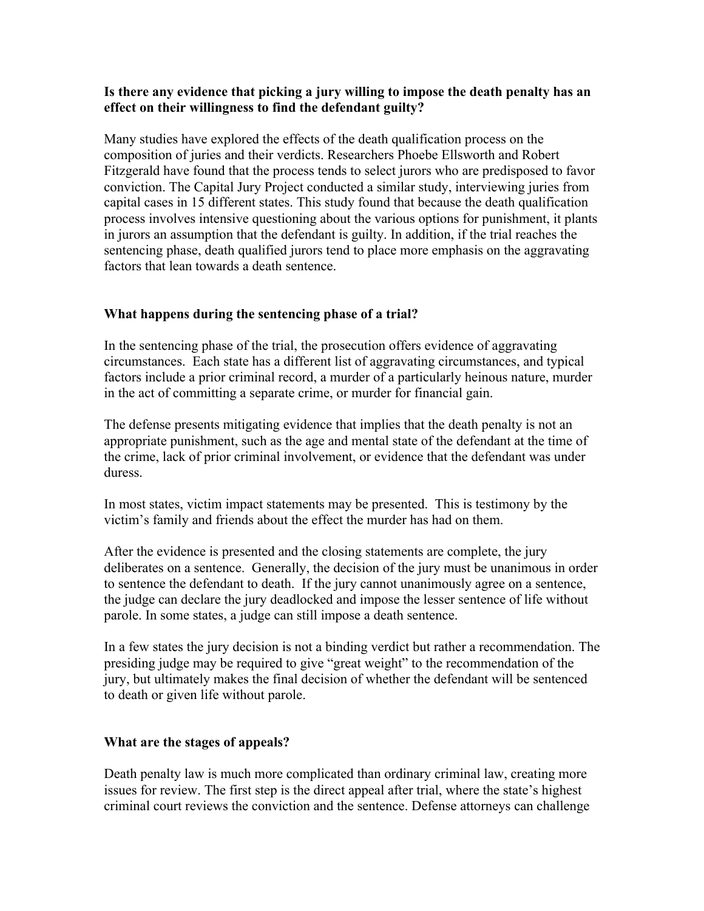## **Is there any evidence that picking a jury willing to impose the death penalty has an effect on their willingness to find the defendant guilty?**

Many studies have explored the effects of the death qualification process on the composition of juries and their verdicts. Researchers Phoebe Ellsworth and Robert Fitzgerald have found that the process tends to select jurors who are predisposed to favor conviction. The Capital Jury Project conducted a similar study, interviewing juries from capital cases in 15 different states. This study found that because the death qualification process involves intensive questioning about the various options for punishment, it plants in jurors an assumption that the defendant is guilty. In addition, if the trial reaches the sentencing phase, death qualified jurors tend to place more emphasis on the aggravating factors that lean towards a death sentence.

# **What happens during the sentencing phase of a trial?**

In the sentencing phase of the trial, the prosecution offers evidence of aggravating circumstances. Each state has a different list of aggravating circumstances, and typical factors include a prior criminal record, a murder of a particularly heinous nature, murder in the act of committing a separate crime, or murder for financial gain.

The defense presents mitigating evidence that implies that the death penalty is not an appropriate punishment, such as the age and mental state of the defendant at the time of the crime, lack of prior criminal involvement, or evidence that the defendant was under duress.

In most states, victim impact statements may be presented. This is testimony by the victim's family and friends about the effect the murder has had on them.

After the evidence is presented and the closing statements are complete, the jury deliberates on a sentence. Generally, the decision of the jury must be unanimous in order to sentence the defendant to death. If the jury cannot unanimously agree on a sentence, the judge can declare the jury deadlocked and impose the lesser sentence of life without parole. In some states, a judge can still impose a death sentence.

In a few states the jury decision is not a binding verdict but rather a recommendation. The presiding judge may be required to give "great weight" to the recommendation of the jury, but ultimately makes the final decision of whether the defendant will be sentenced to death or given life without parole.

# **What are the stages of appeals?**

Death penalty law is much more complicated than ordinary criminal law, creating more issues for review. The first step is the direct appeal after trial, where the state's highest criminal court reviews the conviction and the sentence. Defense attorneys can challenge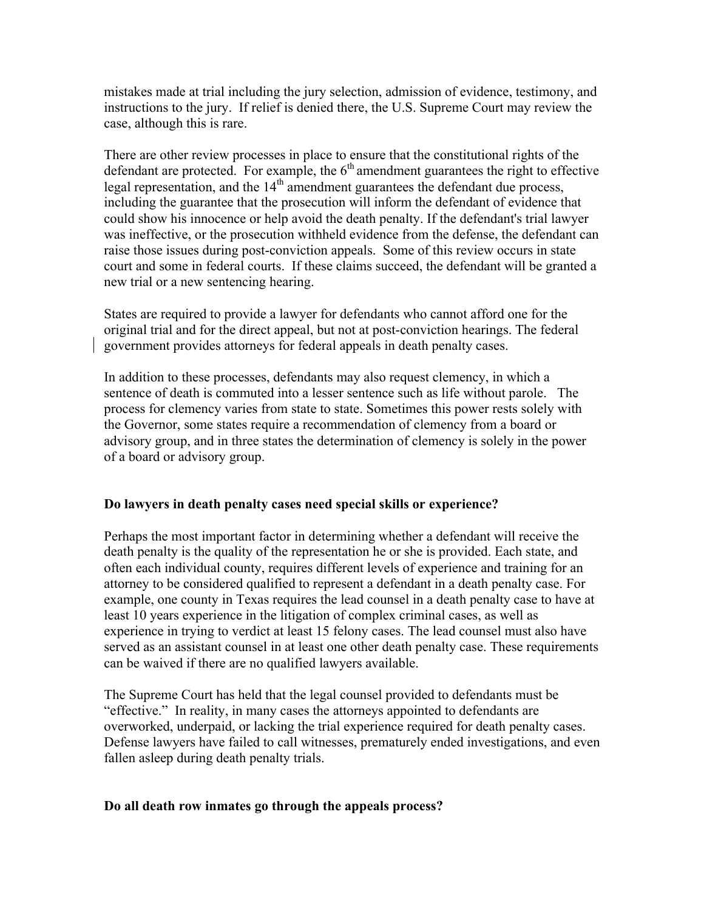mistakes made at trial including the jury selection, admission of evidence, testimony, and instructions to the jury. If relief is denied there, the U.S. Supreme Court may review the case, although this is rare.

There are other review processes in place to ensure that the constitutional rights of the defendant are protected. For example, the  $6<sup>th</sup>$  amendment guarantees the right to effective legal representation, and the  $14<sup>th</sup>$  amendment guarantees the defendant due process, including the guarantee that the prosecution will inform the defendant of evidence that could show his innocence or help avoid the death penalty. If the defendant's trial lawyer was ineffective, or the prosecution withheld evidence from the defense, the defendant can raise those issues during post-conviction appeals. Some of this review occurs in state court and some in federal courts. If these claims succeed, the defendant will be granted a new trial or a new sentencing hearing.

States are required to provide a lawyer for defendants who cannot afford one for the original trial and for the direct appeal, but not at post-conviction hearings. The federal government provides attorneys for federal appeals in death penalty cases.

In addition to these processes, defendants may also request clemency, in which a sentence of death is commuted into a lesser sentence such as life without parole. The process for clemency varies from state to state. Sometimes this power rests solely with the Governor, some states require a recommendation of clemency from a board or advisory group, and in three states the determination of clemency is solely in the power of a board or advisory group.

# **Do lawyers in death penalty cases need special skills or experience?**

Perhaps the most important factor in determining whether a defendant will receive the death penalty is the quality of the representation he or she is provided. Each state, and often each individual county, requires different levels of experience and training for an attorney to be considered qualified to represent a defendant in a death penalty case. For example, one county in Texas requires the lead counsel in a death penalty case to have at least 10 years experience in the litigation of complex criminal cases, as well as experience in trying to verdict at least 15 felony cases. The lead counsel must also have served as an assistant counsel in at least one other death penalty case. These requirements can be waived if there are no qualified lawyers available.

The Supreme Court has held that the legal counsel provided to defendants must be "effective." In reality, in many cases the attorneys appointed to defendants are overworked, underpaid, or lacking the trial experience required for death penalty cases. Defense lawyers have failed to call witnesses, prematurely ended investigations, and even fallen asleep during death penalty trials.

#### **Do all death row inmates go through the appeals process?**